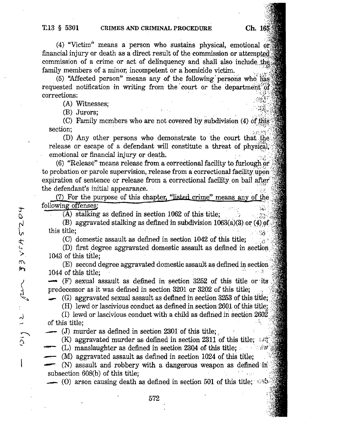$3\times145204$ 

 $\triangleright$ 

lar

لہ

 $\tilde{\zeta}$ 

I

.,

(4) "Victim" means a person who sustains physical, emotional Orj financial injury or death as a direct result of the commission or attempted commission of a crime or act of delinquency and shall also include the family members of a minor, incompetent or a homicide victim.

(5) "Affected person" means any of the following persons who  $h_{\text{max}}$ requested notification in writing from the court or the department  $\partial f$ expections: i.e. in the corrections:

(A) Witnesses;

(B) Jurors;

(C) Family members who are not covered by subdivision (4) of this section;

(D) Any other persons who demonstrate to the court that the release or escape of a defendant will constitute a threat of physical; emotional or financial injury or death.

 $(6)$  "Release" means release from a correctional facility to furlough or to probation or parole supervision, release from a correctional facility upon. expiration of sentence or release from a correctional facility on bail after the defendant's initial appearance.

 $(7)$  For the purpose of this chapter, "listed crime" means any of the following offenses;

(A) stalking as defined in section 1062 of this title;

(B) aggravated stalking as defined in subdivision  $1063(a)(3)$  or (4) of this title; - 88.

(C) domestic assault as defined in section 1042 of this title;

(D) first degree aggravated domestic assault as defined in section. 1043 of this title;

(E) second degree aggravated domestic assault as defined in section 1044 of this title;

 $\leftarrow$  (F) sexual assault as defined in section 3252 of this title or its predecessor as it was defined in section 3201 or 3202 of this title;

(G) aggravated sexual assault as defined in section 3253 of this title;

(H) lewd or lascivious conduct as defined in section 2691 of this title;

(I) lewd or lascivious conduct with a child as defined in section  $260\overline{2}$ of this title;

(J) murder as defined in section 2301 of this title;

(K) aggravated murder as defined in section 2311 of this title;  $\mathcal{L}(\mathcal{L})$ 

(L) manslaughter as defined in section 2304 of this title; •

(M) aggravated assault as defined in section 1024 of this title;

(N) assault and robbery with a dangerous weapon as defined subsection 608(b) of this title;

(0) arson causing death as defined in section 501 of this title;  $\pm 5$ 

572